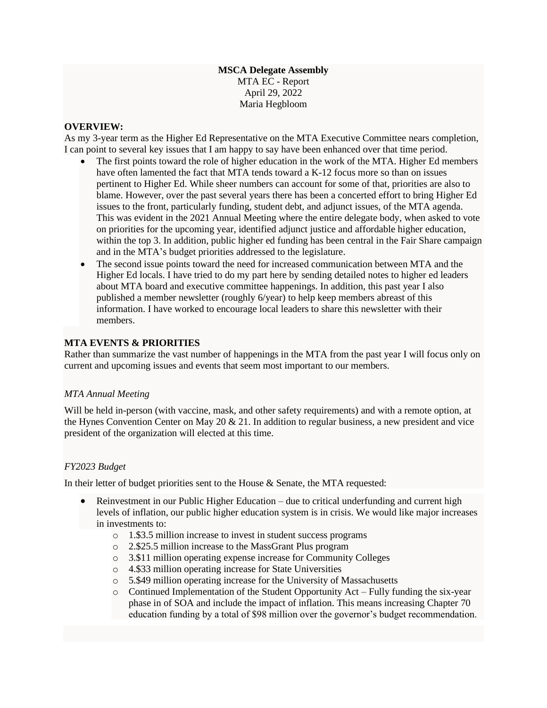#### **MSCA Delegate Assembly** MTA EC - Report April 29, 2022 Maria Hegbloom

#### **OVERVIEW:**

As my 3-year term as the Higher Ed Representative on the MTA Executive Committee nears completion, I can point to several key issues that I am happy to say have been enhanced over that time period.

- The first points toward the role of higher education in the work of the MTA. Higher Ed members have often lamented the fact that MTA tends toward a K-12 focus more so than on issues pertinent to Higher Ed. While sheer numbers can account for some of that, priorities are also to blame. However, over the past several years there has been a concerted effort to bring Higher Ed issues to the front, particularly funding, student debt, and adjunct issues, of the MTA agenda. This was evident in the 2021 Annual Meeting where the entire delegate body, when asked to vote on priorities for the upcoming year, identified adjunct justice and affordable higher education, within the top 3. In addition, public higher ed funding has been central in the Fair Share campaign and in the MTA's budget priorities addressed to the legislature.
- The second issue points toward the need for increased communication between MTA and the Higher Ed locals. I have tried to do my part here by sending detailed notes to higher ed leaders about MTA board and executive committee happenings. In addition, this past year I also published a member newsletter (roughly 6/year) to help keep members abreast of this information. I have worked to encourage local leaders to share this newsletter with their members.

#### **MTA EVENTS & PRIORITIES**

Rather than summarize the vast number of happenings in the MTA from the past year I will focus only on current and upcoming issues and events that seem most important to our members.

## *MTA Annual Meeting*

Will be held in-person (with vaccine, mask, and other safety requirements) and with a remote option, at the Hynes Convention Center on May 20  $& 21$ . In addition to regular business, a new president and vice president of the organization will elected at this time.

## *FY2023 Budget*

In their letter of budget priorities sent to the House & Senate, the MTA requested:

- Reinvestment in our Public Higher Education due to critical underfunding and current high levels of inflation, our public higher education system is in crisis. We would like major increases in investments to:
	- o 1.\$3.5 million increase to invest in student success programs
	- o 2.\$25.5 million increase to the MassGrant Plus program
	- o 3.\$11 million operating expense increase for Community Colleges
	- o 4.\$33 million operating increase for State Universities
	- o 5.\$49 million operating increase for the University of Massachusetts
	- $\circ$  Continued Implementation of the Student Opportunity Act Fully funding the six-year phase in of SOA and include the impact of inflation. This means increasing Chapter 70 education funding by a total of \$98 million over the governor's budget recommendation.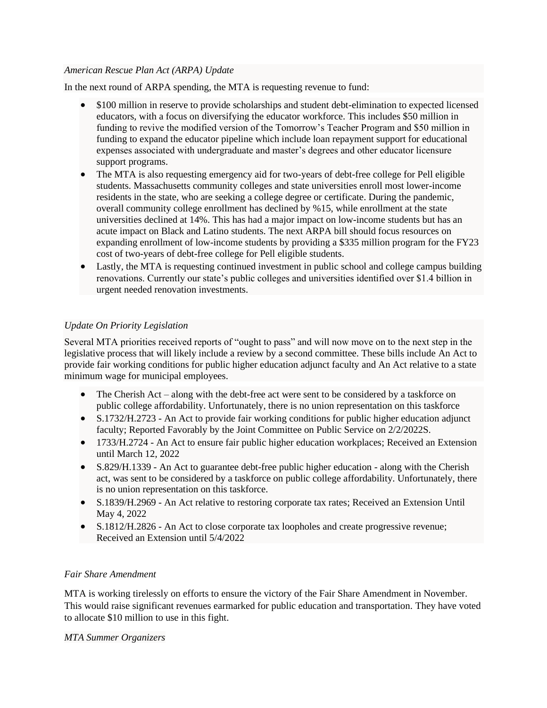## *American Rescue Plan Act (ARPA) Update*

In the next round of ARPA spending, the MTA is requesting revenue to fund:

- \$100 million in reserve to provide scholarships and student debt-elimination to expected licensed educators, with a focus on diversifying the educator workforce. This includes \$50 million in funding to revive the modified version of the Tomorrow's Teacher Program and \$50 million in funding to expand the educator pipeline which include loan repayment support for educational expenses associated with undergraduate and master's degrees and other educator licensure support programs.
- The MTA is also requesting emergency aid for two-years of debt-free college for Pell eligible students. Massachusetts community colleges and state universities enroll most lower-income residents in the state, who are seeking a college degree or certificate. During the pandemic, overall community college enrollment has declined by %15, while enrollment at the state universities declined at 14%. This has had a major impact on low-income students but has an acute impact on Black and Latino students. The next ARPA bill should focus resources on expanding enrollment of low-income students by providing a \$335 million program for the FY23 cost of two-years of debt-free college for Pell eligible students.
- Lastly, the MTA is requesting continued investment in public school and college campus building renovations. Currently our state's public colleges and universities identified over \$1.4 billion in urgent needed renovation investments.

# *Update On Priority Legislation*

Several MTA priorities received reports of "ought to pass" and will now move on to the next step in the legislative process that will likely include a review by a second committee. These bills include An Act to provide fair working conditions for public higher education adjunct faculty and An Act relative to a state minimum wage for municipal employees.

- The Cherish Act along with the debt-free act were sent to be considered by a taskforce on public college affordability. Unfortunately, there is no union representation on this taskforce
- S.1732/H.2723 An Act to provide fair working conditions for public higher education adjunct faculty; Reported Favorably by the Joint Committee on Public Service on 2/2/2022S.
- 1733/H.2724 An Act to ensure fair public higher education workplaces; Received an Extension until March 12, 2022
- S.829/H.1339 An Act to guarantee debt-free public higher education along with the Cherish act, was sent to be considered by a taskforce on public college affordability. Unfortunately, there is no union representation on this taskforce.
- S.1839/H.2969 An Act relative to restoring corporate tax rates; Received an Extension Until May 4, 2022
- S.1812/H.2826 An Act to close corporate tax loopholes and create progressive revenue; Received an Extension until 5/4/2022

# *Fair Share Amendment*

MTA is working tirelessly on efforts to ensure the victory of the Fair Share Amendment in November. This would raise significant revenues earmarked for public education and transportation. They have voted to allocate \$10 million to use in this fight.

## *MTA Summer Organizers*